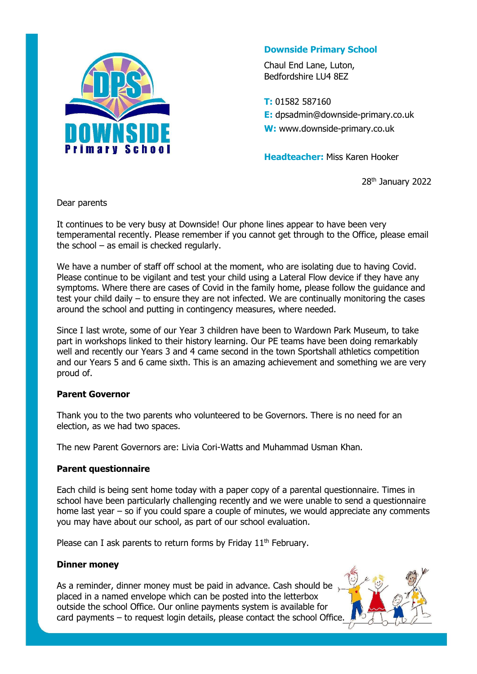

# **Downside Primary School**

Chaul End Lane, Luton, Bedfordshire LU4 8EZ

**T:** 01582 587160 **E:** dpsadmin@downside-primary.co.uk **W:** www.downside-primary.co.uk

**Headteacher:** Miss Karen Hooker

28<sup>th</sup> January 2022

Dear parents

It continues to be very busy at Downside! Our phone lines appear to have been very temperamental recently. Please remember if you cannot get through to the Office, please email the school – as email is checked regularly.

We have a number of staff off school at the moment, who are isolating due to having Covid. Please continue to be vigilant and test your child using a Lateral Flow device if they have any symptoms. Where there are cases of Covid in the family home, please follow the guidance and test your child daily – to ensure they are not infected. We are continually monitoring the cases around the school and putting in contingency measures, where needed.

Since I last wrote, some of our Year 3 children have been to Wardown Park Museum, to take part in workshops linked to their history learning. Our PE teams have been doing remarkably well and recently our Years 3 and 4 came second in the town Sportshall athletics competition and our Years 5 and 6 came sixth. This is an amazing achievement and something we are very proud of.

## **Parent Governor**

Thank you to the two parents who volunteered to be Governors. There is no need for an election, as we had two spaces.

The new Parent Governors are: Livia Cori-Watts and Muhammad Usman Khan.

## **Parent questionnaire**

Each child is being sent home today with a paper copy of a parental questionnaire. Times in school have been particularly challenging recently and we were unable to send a questionnaire home last year – so if you could spare a couple of minutes, we would appreciate any comments you may have about our school, as part of our school evaluation.

Please can I ask parents to return forms by Friday 11<sup>th</sup> February.

## **Dinner money**

As a reminder, dinner money must be paid in advance. Cash should be placed in a named envelope which can be posted into the letterbox outside the school Office. Our online payments system is available for card payments – to request login details, please contact the school Office.